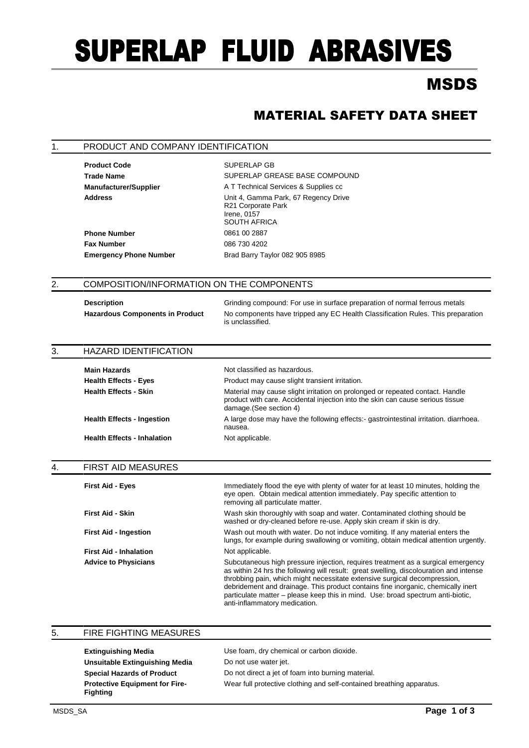# SUPERLAP FLUID ABRASIVES

## MSDS

### MATERIAL SAFETY DATA SHEET

#### 1. PRODUCT AND COMPANY IDENTIFICATION

**Product Code** SUPERLAP GB

Trade Name **SUPERLAP GREASE BASE COMPOUND Manufacturer/Supplier** A T Technical Services & Supplies cc Address **Address** Unit 4, Gamma Park, 67 Regency Drive R21 Corporate Park Irene, 0157 SOUTH AFRICA **Phone Number** 0861 00 2887 **Fax Number** 086 730 4202 **Emergency Phone Number** Brad Barry Taylor 082 905 8985

#### 2. COMPOSITION/INFORMATION ON THE COMPONENTS

**Description** Grinding compound: For use in surface preparation of normal ferrous metals **Hazardous Components in Product** No components have tripped any EC Health Classification Rules. This preparation is unclassified.

| 3. | <b>HAZARD IDENTIFICATION</b>       |                                                                                                                                                                                            |  |
|----|------------------------------------|--------------------------------------------------------------------------------------------------------------------------------------------------------------------------------------------|--|
|    | <b>Main Hazards</b>                | Not classified as hazardous.                                                                                                                                                               |  |
|    | <b>Health Effects - Eyes</b>       | Product may cause slight transient irritation.                                                                                                                                             |  |
|    | <b>Health Effects - Skin</b>       | Material may cause slight irritation on prolonged or repeated contact. Handle<br>product with care. Accidental injection into the skin can cause serious tissue<br>damage. (See section 4) |  |
|    | <b>Health Effects - Ingestion</b>  | A large dose may have the following effects:- gastrointestinal irritation. diarrhoea.<br>nausea.                                                                                           |  |
|    | <b>Health Effects - Inhalation</b> | Not applicable.                                                                                                                                                                            |  |

#### 4. FIRST AID MEASURES

| <b>First Aid - Eyes</b>       | Immediately flood the eye with plenty of water for at least 10 minutes, holding the<br>eye open. Obtain medical attention immediately. Pay specific attention to<br>removing all particulate matter.                                                                                                                                                                                                                                                            |
|-------------------------------|-----------------------------------------------------------------------------------------------------------------------------------------------------------------------------------------------------------------------------------------------------------------------------------------------------------------------------------------------------------------------------------------------------------------------------------------------------------------|
| <b>First Aid - Skin</b>       | Wash skin thoroughly with soap and water. Contaminated clothing should be<br>washed or dry-cleaned before re-use. Apply skin cream if skin is dry.                                                                                                                                                                                                                                                                                                              |
| <b>First Aid - Ingestion</b>  | Wash out mouth with water. Do not induce vomiting. If any material enters the<br>lungs, for example during swallowing or vomiting, obtain medical attention urgently.                                                                                                                                                                                                                                                                                           |
| <b>First Aid - Inhalation</b> | Not applicable.                                                                                                                                                                                                                                                                                                                                                                                                                                                 |
| <b>Advice to Physicians</b>   | Subcutaneous high pressure injection, requires treatment as a surgical emergency<br>as within 24 hrs the following will result: great swelling, discolouration and intense<br>throbbing pain, which might necessitate extensive surgical decompression,<br>debridement and drainage. This product contains fine inorganic, chemically inert<br>particulate matter – please keep this in mind. Use: broad spectrum anti-biotic,<br>anti-inflammatory medication. |

| 5. | <b>FIRE FIGHTING MEASURES</b>                            |                                                                       |  |
|----|----------------------------------------------------------|-----------------------------------------------------------------------|--|
|    | <b>Extinguishing Media</b>                               | Use foam, dry chemical or carbon dioxide.                             |  |
|    | Unsuitable Extinguishing Media                           | Do not use water jet.                                                 |  |
|    | <b>Special Hazards of Product</b>                        | Do not direct a jet of foam into burning material.                    |  |
|    | <b>Protective Equipment for Fire-</b><br><b>Fighting</b> | Wear full protective clothing and self-contained breathing apparatus. |  |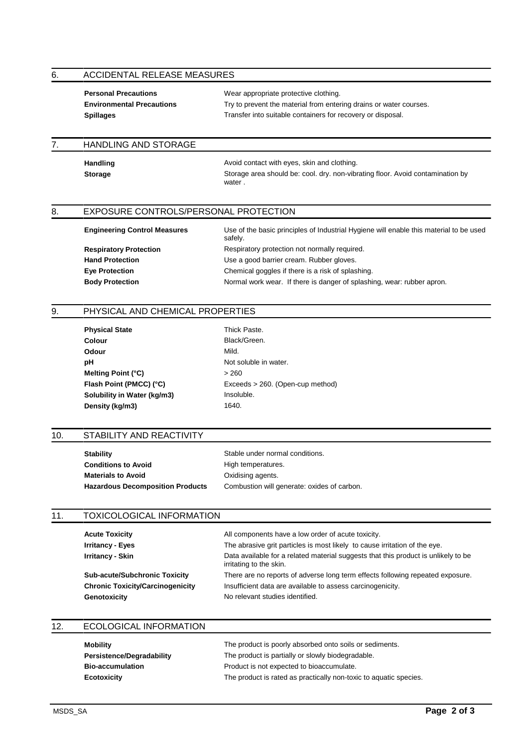#### 6. ACCIDENTAL RELEASE MEASURES

| <b>Personal Precautions</b>      | Wear appropriate protective clothing.                              |
|----------------------------------|--------------------------------------------------------------------|
| <b>Environmental Precautions</b> | Try to prevent the material from entering drains or water courses. |
| <b>Spillages</b>                 | Transfer into suitable containers for recovery or disposal.        |

water .

#### 7. HANDLING AND STORAGE

Handling **Handling Avoid contact with eyes, skin and clothing. Storage** Storage area should be: cool. dry. non-vibrating floor. Avoid contamination by

#### 8. EXPOSURE CONTROLS/PERSONAL PROTECTION

**Engineering Control Measures** Use of the basic principles of Industrial Hygiene will enable this material to be used safely. **Respiratory Protection** Respiratory protection not normally required. **Hand Protection Hand Protection** Use a good barrier cream. Rubber gloves. **Eye Protection** Chemical goggles if there is a risk of splashing. **Body Protection** Normal work wear. If there is danger of splashing, wear: rubber apron.

#### 9. PHYSICAL AND CHEMICAL PROPERTIES

| <b>Physical State</b>       | <b>Thick Past</b> |
|-----------------------------|-------------------|
| Colour                      | Black/Gre         |
| Odour                       | Mild.             |
| pН                          | Not solubl        |
| Melting Point (°C)          | >260              |
| Flash Point (PMCC) (°C)     | Exceeds >         |
| Solubility in Water (kg/m3) | Insoluble.        |
| Density (kg/m3)             | 1640.             |
|                             |                   |

**Thick Paste. Black/Green.** Not soluble in water.<br>> 260 Exceeds > 260. (Open-cup method)

#### 10. STABILITY AND REACTIVITY

**Stability** Stable under normal conditions. **Conditions to Avoid** High temperatures. **Materials to Avoid COMPONE CONSERVING MATER** 

**Hazardous Decomposition Products** Combustion will generate: oxides of carbon.

#### 11. TOXICOLOGICAL INFORMATION

**Acute Toxicity All components have a low order of acute toxicity. Irritancy - Eyes** The abrasive grit particles is most likely to cause irritation of the eye. **Irritancy - Skin Data available for a related material suggests that this product is unlikely to be** irritating to the skin. **Sub-acute/Subchronic Toxicity** There are no reports of adverse long term effects following repeated exposure. **Chronic Toxicity/Carcinogenicity** Insufficient data are available to assess carcinogenicity.

Genotoxicity **Genotoxicity** No relevant studies identified.

#### 12. ECOLOGICAL INFORMATION

| Mobility                         | The product is poorly absorbed onto soils or sediments.           |
|----------------------------------|-------------------------------------------------------------------|
| <b>Persistence/Degradability</b> | The product is partially or slowly biodegradable.                 |
| <b>Bio-accumulation</b>          | Product is not expected to bioaccumulate.                         |
| Ecotoxicity                      | The product is rated as practically non-toxic to aquatic species. |